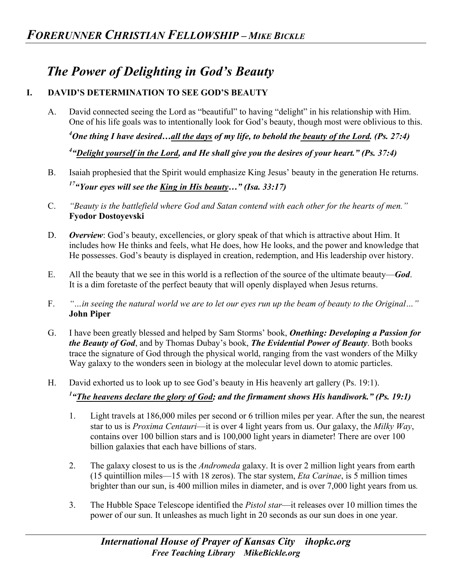## *The Power of Delighting in God's Beauty*

## **I. DAVID'S DETERMINATION TO SEE GOD'S BEAUTY**

A. David connected seeing the Lord as "beautiful" to having "delight" in his relationship with Him. One of his life goals was to intentionally look for God's beauty, though most were oblivious to this.

*4 One thing I have desired…all the days of my life, to behold the beauty of the Lord. (Ps. 27:4)*

*4 "Delight yourself in the Lord, and He shall give you the desires of your heart." (Ps. 37:4)*

- B. Isaiah prophesied that the Spirit would emphasize King Jesus' beauty in the generation He returns. *17"Your eyes will see the King in His beauty…" (Isa. 33:17)*
- C. *"Beauty is the battlefield where God and Satan contend with each other for the hearts of men."*  **Fyodor Dostoyevski**
- D. **Overview**: God's beauty, excellencies, or glory speak of that which is attractive about Him. It includes how He thinks and feels, what He does, how He looks, and the power and knowledge that He possesses. God's beauty is displayed in creation, redemption, and His leadership over history.
- E. All the beauty that we see in this world is a reflection of the source of the ultimate beauty—*God*. It is a dim foretaste of the perfect beauty that will openly displayed when Jesus returns.
- F. *"…in seeing the natural world we are to let our eyes run up the beam of beauty to the Original…"* **John Piper**
- G. I have been greatly blessed and helped by Sam Storms' book, *Onething: Developing a Passion for the Beauty of God*, and by Thomas Dubay's book, *The Evidential Power of Beauty*. Both books trace the signature of God through the physical world, ranging from the vast wonders of the Milky Way galaxy to the wonders seen in biology at the molecular level down to atomic particles.
- H. David exhorted us to look up to see God's beauty in His heavenly art gallery (Ps. 19:1).

## <sup>1</sup> "<u>The heavens declare the glory of God</u>; and the firmament shows His handiwork." (Ps. 19:1)

- 1. Light travels at 186,000 miles per second or 6 trillion miles per year. After the sun, the nearest star to us is *Proxima Centauri*—it is over 4 light years from us. Our galaxy, the *Milky Way*, contains over 100 billion stars and is 100,000 light years in diameter! There are over 100 billion galaxies that each have billions of stars.
- 2. The galaxy closest to us is the *Andromeda* galaxy. It is over 2 million light years from earth (15 quintillion miles—15 with 18 zeros). The star system, *Eta Carinae*, is 5 million times brighter than our sun, is 400 million miles in diameter, and is over 7,000 light years from us*.*
- 3. The Hubble Space Telescope identified the *Pistol star*—it releases over 10 million times the power of our sun. It unleashes as much light in 20 seconds as our sun does in one year.